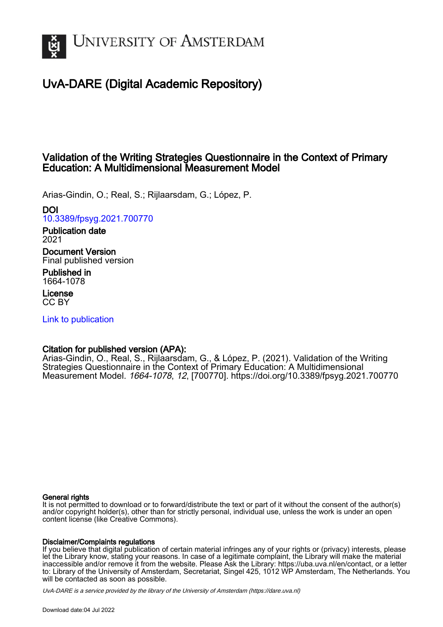

# UvA-DARE (Digital Academic Repository)

## Validation of the Writing Strategies Questionnaire in the Context of Primary Education: A Multidimensional Measurement Model

Arias-Gindin, O.; Real, S.; Rijlaarsdam, G.; López, P.

## DOI

[10.3389/fpsyg.2021.700770](https://doi.org/10.3389/fpsyg.2021.700770)

# Publication date

2021

Document Version Final published version

Published in 1664-1078

License CC BY

[Link to publication](https://dare.uva.nl/personal/pure/en/publications/validation-of-the-writing-strategies-questionnaire-in-the-context-of-primary-education-a-multidimensional-measurement-model(5cdef7fd-3416-4d9c-a6cf-06325f22b8f0).html)

## Citation for published version (APA):

Arias-Gindin, O., Real, S., Rijlaarsdam, G., & López, P. (2021). Validation of the Writing Strategies Questionnaire in the Context of Primary Education: A Multidimensional Measurement Model. 1664-1078, 12, [700770].<https://doi.org/10.3389/fpsyg.2021.700770>

#### General rights

It is not permitted to download or to forward/distribute the text or part of it without the consent of the author(s) and/or copyright holder(s), other than for strictly personal, individual use, unless the work is under an open content license (like Creative Commons).

#### Disclaimer/Complaints regulations

If you believe that digital publication of certain material infringes any of your rights or (privacy) interests, please let the Library know, stating your reasons. In case of a legitimate complaint, the Library will make the material inaccessible and/or remove it from the website. Please Ask the Library: https://uba.uva.nl/en/contact, or a letter to: Library of the University of Amsterdam, Secretariat, Singel 425, 1012 WP Amsterdam, The Netherlands. You will be contacted as soon as possible.

UvA-DARE is a service provided by the library of the University of Amsterdam (http*s*://dare.uva.nl)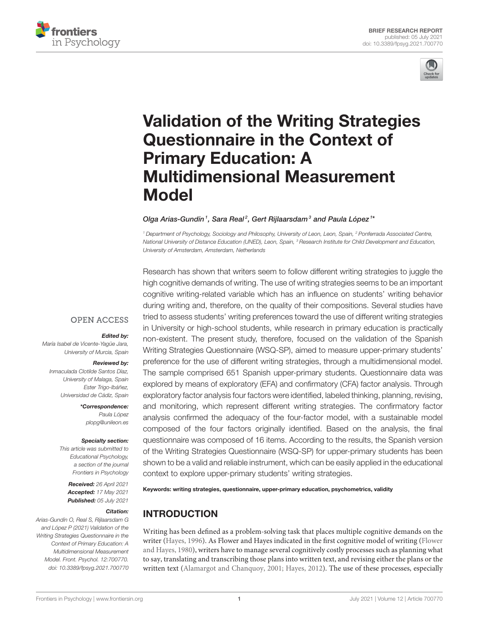



# [Validation of the Writing Strategies](https://www.frontiersin.org/articles/10.3389/fpsyg.2021.700770/full) Questionnaire in the Context of Primary Education: A Multidimensional Measurement Model

#### Olga Arias-Gundín<sup>1</sup>, Sara Real<sup>2</sup>, Gert Rijlaarsdam<sup>3</sup> and Paula López<sup>1\*</sup>

<sup>1</sup> Department of Psychology, Sociology and Philosophy, University of Leon, Leon, Spain, <sup>2</sup> Ponferrada Associated Centre, National University of Distance Education (UNED), Leon, Spain, <sup>3</sup> Research Institute for Child Development and Education, University of Amsterdam, Amsterdam, Netherlands

Research has shown that writers seem to follow different writing strategies to juggle the

high cognitive demands of writing. The use of writing strategies seems to be an important cognitive writing-related variable which has an influence on students' writing behavior during writing and, therefore, on the quality of their compositions. Several studies have tried to assess students' writing preferences toward the use of different writing strategies in University or high-school students, while research in primary education is practically non-existent. The present study, therefore, focused on the validation of the Spanish Writing Strategies Questionnaire (WSQ-SP), aimed to measure upper-primary students' preference for the use of different writing strategies, through a multidimensional model. The sample comprised 651 Spanish upper-primary students. Questionnaire data was explored by means of exploratory (EFA) and confirmatory (CFA) factor analysis. Through exploratory factor analysis four factors were identified, labeled thinking, planning, revising, and monitoring, which represent different writing strategies. The confirmatory factor analysis confirmed the adequacy of the four-factor model, with a sustainable model composed of the four factors originally identified. Based on the analysis, the final questionnaire was composed of 16 items. According to the results, the Spanish version of the Writing Strategies Questionnaire (WSQ-SP) for upper-primary students has been shown to be a valid and reliable instrument, which can be easily applied in the educational context to explore upper-primary students' writing strategies.

#### Keywords: writing strategies, questionnaire, upper-primary education, psychometrics, validity

#### INTRODUCTION

Writing has been defined as a problem-solving task that places multiple cognitive demands on the writer [\(Hayes, 1996\)](#page-9-0). As Flower and Hayes indicated in the first cognitive model of writing (Flower and Hayes, [1980\)](#page-8-0), writers have to manage several cognitively costly processes such as planning what to say, translating and transcribing those plans into written text, and revising either the plans or the written text [\(Alamargot and Chanquoy, 2001;](#page-8-1) [Hayes, 2012\)](#page-9-1). The use of these processes, especially

#### **OPEN ACCESS**

#### Edited by:

María Isabel de Vicente-Yagüe Jara, University of Murcia, Spain

#### Reviewed by:

Inmaculada Clotilde Santos Díaz, University of Malaga, Spain Ester Trigo-Ibáñez, Universidad de Cádiz, Spain

> \*Correspondence: Paula López [plopg@unileon.es](mailto:plopg@unileon.es)

#### Specialty section:

This article was submitted to Educational Psychology, a section of the journal Frontiers in Psychology

> Received: 26 April 2021 Accepted: 17 May 2021 Published: 05 July 2021

#### Citation:

Arias-Gundín O, Real S, Rijlaarsdam G and López P (2021) Validation of the Writing Strategies Questionnaire in the Context of Primary Education: A Multidimensional Measurement Model. Front. Psychol. 12:700770. doi: [10.3389/fpsyg.2021.700770](https://doi.org/10.3389/fpsyg.2021.700770)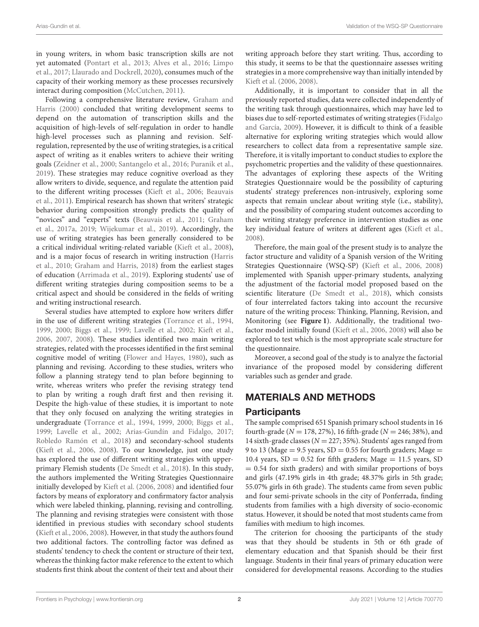in young writers, in whom basic transcription skills are not yet automated [\(Pontart et al., 2013;](#page-9-2) [Alves et al., 2016;](#page-8-2) Limpo et al., [2017;](#page-9-3) [Llaurado and Dockrell, 2020\)](#page-9-4), consumes much of the capacity of their working memory as these processes recursively interact during composition [\(McCutchen, 2011\)](#page-9-5).

Following a comprehensive literature review, Graham and Harris [\(2000\)](#page-9-6) concluded that writing development seems to depend on the automation of transcription skills and the acquisition of high-levels of self-regulation in order to handle high-level processes such as planning and revision. Selfregulation, represented by the use of writing strategies, is a critical aspect of writing as it enables writers to achieve their writing goals [\(Zeidner et al., 2000;](#page-9-7) [Santangelo et al., 2016;](#page-9-8) [Puranik et al.,](#page-9-9) [2019\)](#page-9-9). These strategies may reduce cognitive overload as they allow writers to divide, sequence, and regulate the attention paid to the different writing processes [\(Kieft et al., 2006;](#page-9-10) Beauvais et al., [2011\)](#page-8-3). Empirical research has shown that writers' strategic behavior during composition strongly predicts the quality of "novices" and "experts" texts [\(Beauvais et al., 2011;](#page-8-3) Graham et al., [2017a,](#page-8-4) [2019;](#page-9-11) [Wijekumar et al., 2019\)](#page-9-12). Accordingly, the use of writing strategies has been generally considered to be a critical individual writing-related variable [\(Kieft et al., 2008\)](#page-9-13), and is a major focus of research in writing instruction (Harris et al., [2010;](#page-9-14) [Graham and Harris, 2018\)](#page-8-5) from the earliest stages of education [\(Arrimada et al., 2019\)](#page-8-6). Exploring students' use of different writing strategies during composition seems to be a critical aspect and should be considered in the fields of writing and writing instructional research.

Several studies have attempted to explore how writers differ in the use of different writing strategies [\(Torrance et al., 1994,](#page-9-15) [1999,](#page-9-16) [2000;](#page-9-17) [Biggs et al., 1999;](#page-8-7) [Lavelle et al., 2002;](#page-9-18) [Kieft et](#page-9-10) al., [2006,](#page-9-10) [2007,](#page-9-19) [2008\)](#page-9-13). These studies identified two main writing strategies, related with the processes identified in the first seminal cognitive model of writing [\(Flower and Hayes, 1980\)](#page-8-0), such as planning and revising. According to these studies, writers who follow a planning strategy tend to plan before beginning to write, whereas writers who prefer the revising strategy tend to plan by writing a rough draft first and then revising it. Despite the high-value of these studies, it is important to note that they only focused on analyzing the writing strategies in undergraduate [\(Torrance et al., 1994,](#page-9-15) [1999,](#page-9-16) [2000;](#page-9-17) [Biggs et al.,](#page-8-7) [1999;](#page-8-7) [Lavelle et al., 2002;](#page-9-18) [Arias-Gundín and Fidalgo, 2017;](#page-8-8) [Robledo Ramón et al., 2018\)](#page-9-20) and secondary-school students [\(Kieft et al., 2006,](#page-9-10) [2008\)](#page-9-13). To our knowledge, just one study has explored the use of different writing strategies with upperprimary Flemish students [\(De Smedt et al., 2018\)](#page-8-9). In this study, the authors implemented the Writing Strategies Questionnaire initially developed by [Kieft et al. \(2006,](#page-9-10) [2008\)](#page-9-13) and identified four factors by means of exploratory and confirmatory factor analysis which were labeled thinking, planning, revising and controlling. The planning and revising strategies were consistent with those identified in previous studies with secondary school students [\(Kieft et al., 2006,](#page-9-10) [2008\)](#page-9-13). However, in that study the authors found two additional factors. The controlling factor was defined as students' tendency to check the content or structure of their text, whereas the thinking factor make reference to the extent to which students first think about the content of their text and about their writing approach before they start writing. Thus, according to this study, it seems to be that the questionnaire assesses writing strategies in a more comprehensive way than initially intended by [Kieft et al. \(2006,](#page-9-10) [2008\)](#page-9-13).

Additionally, it is important to consider that in all the previously reported studies, data were collected independently of the writing task through questionnaires, which may have led to biases due to self-reported estimates of writing strategies (Fidalgo and García, [2009\)](#page-8-10). However, it is difficult to think of a feasible alternative for exploring writing strategies which would allow researchers to collect data from a representative sample size. Therefore, it is vitally important to conduct studies to explore the psychometric properties and the validity of these questionnaires. The advantages of exploring these aspects of the Writing Strategies Questionnaire would be the possibility of capturing students' strategy preferences non-intrusively, exploring some aspects that remain unclear about writing style (i.e., stability), and the possibility of comparing student outcomes according to their writing strategy preference in intervention studies as one key individual feature of writers at different ages [\(Kieft et al.,](#page-9-13) [2008\)](#page-9-13).

Therefore, the main goal of the present study is to analyze the factor structure and validity of a Spanish version of the Writing Strategies Questionnaire (WSQ-SP) [\(Kieft et al., 2006,](#page-9-10) [2008\)](#page-9-13) implemented with Spanish upper-primary students, analyzing the adjustment of the factorial model proposed based on the scientific literature [\(De Smedt et al., 2018\)](#page-8-9), which consists of four interrelated factors taking into account the recursive nature of the writing process: Thinking, Planning, Revision, and Monitoring (see **[Figure 1](#page-3-0)**). Additionally, the traditional twofactor model initially found [\(Kieft et al., 2006,](#page-9-10) [2008\)](#page-9-13) will also be explored to test which is the most appropriate scale structure for the questionnaire.

Moreover, a second goal of the study is to analyze the factorial invariance of the proposed model by considering different variables such as gender and grade.

## MATERIALS AND METHODS

#### **Participants**

The sample comprised 651 Spanish primary school students in 16 fourth-grade ( $N = 178, 27\%$ ), 16 fifth-grade ( $N = 246, 38\%$ ), and 14 sixth-grade classes ( $N = 227$ ; 35%). Students' ages ranged from 9 to 13 (Mage = 9.5 years,  $SD = 0.55$  for fourth graders; Mage = 10.4 years,  $SD = 0.52$  for fifth graders; Mage = 11.5 years, SD = 0.54 for sixth graders) and with similar proportions of boys and girls (47.19% girls in 4th grade; 48.37% girls in 5th grade; 55.07% girls in 6th grade). The students came from seven public and four semi-private schools in the city of Ponferrada, finding students from families with a high diversity of socio-economic status. However, it should be noted that most students came from families with medium to high incomes.

The criterion for choosing the participants of the study was that they should be students in 5th or 6th grade of elementary education and that Spanish should be their first language. Students in their final years of primary education were considered for developmental reasons. According to the studies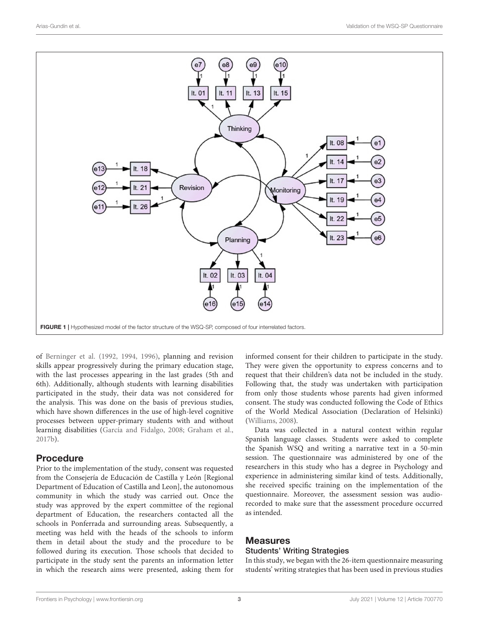

<span id="page-3-0"></span>of [Berninger et al. \(1992,](#page-8-11) [1994,](#page-8-12) [1996\)](#page-8-13), planning and revision skills appear progressively during the primary education stage, with the last processes appearing in the last grades (5th and 6th). Additionally, although students with learning disabilities participated in the study, their data was not considered for the analysis. This was done on the basis of previous studies, which have shown differences in the use of high-level cognitive processes between upper-primary students with and without learning disabilities [\(García and Fidalgo, 2008;](#page-8-14) [Graham et al.,](#page-9-21) [2017b\)](#page-9-21).

#### Procedure

Prior to the implementation of the study, consent was requested from the Consejería de Educación de Castilla y León [Regional Department of Education of Castilla and Leon], the autonomous community in which the study was carried out. Once the study was approved by the expert committee of the regional department of Education, the researchers contacted all the schools in Ponferrada and surrounding areas. Subsequently, a meeting was held with the heads of the schools to inform them in detail about the study and the procedure to be followed during its execution. Those schools that decided to participate in the study sent the parents an information letter in which the research aims were presented, asking them for informed consent for their children to participate in the study. They were given the opportunity to express concerns and to request that their children's data not be included in the study. Following that, the study was undertaken with participation from only those students whose parents had given informed consent. The study was conducted following the Code of Ethics of the World Medical Association (Declaration of Helsinki) [\(Williams, 2008\)](#page-9-22).

Data was collected in a natural context within regular Spanish language classes. Students were asked to complete the Spanish WSQ and writing a narrative text in a 50-min session. The questionnaire was administered by one of the researchers in this study who has a degree in Psychology and experience in administering similar kind of tests. Additionally, she received specific training on the implementation of the questionnaire. Moreover, the assessment session was audiorecorded to make sure that the assessment procedure occurred as intended.

#### **Measures**

#### Students' Writing Strategies

In this study, we began with the 26-item questionnaire measuring students' writing strategies that has been used in previous studies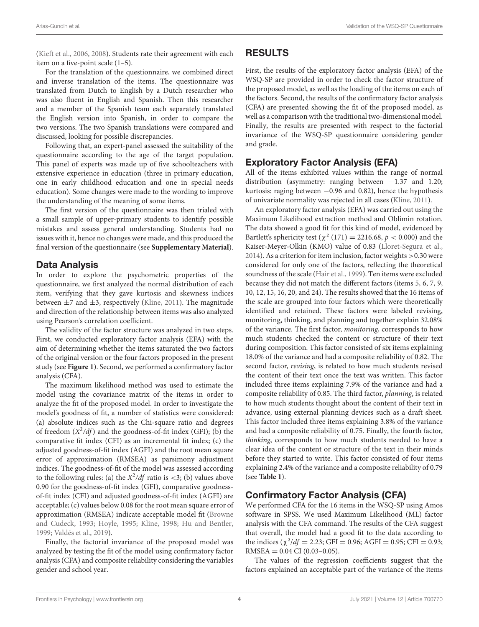[\(Kieft et al., 2006,](#page-9-10) [2008\)](#page-9-13). Students rate their agreement with each item on a five-point scale (1–5).

For the translation of the questionnaire, we combined direct and inverse translation of the items. The questionnaire was translated from Dutch to English by a Dutch researcher who was also fluent in English and Spanish. Then this researcher and a member of the Spanish team each separately translated the English version into Spanish, in order to compare the two versions. The two Spanish translations were compared and discussed, looking for possible discrepancies.

Following that, an expert-panel assessed the suitability of the questionnaire according to the age of the target population. This panel of experts was made up of five schoolteachers with extensive experience in education (three in primary education, one in early childhood education and one in special needs education). Some changes were made to the wording to improve the understanding of the meaning of some items.

The first version of the questionnaire was then trialed with a small sample of upper-primary students to identify possible mistakes and assess general understanding. Students had no issues with it, hence no changes were made, and this produced the final version of the questionnaire (see **[Supplementary Material](#page-8-15)**).

#### Data Analysis

In order to explore the psychometric properties of the questionnaire, we first analyzed the normal distribution of each item, verifying that they gave kurtosis and skewness indices between  $\pm$ 7 and  $\pm$ 3, respectively [\(Kline, 2011\)](#page-9-23). The magnitude and direction of the relationship between items was also analyzed using Pearson's correlation coefficient.

The validity of the factor structure was analyzed in two steps. First, we conducted exploratory factor analysis (EFA) with the aim of determining whether the items saturated the two factors of the original version or the four factors proposed in the present study (see **[Figure 1](#page-3-0)**). Second, we performed a confirmatory factor analysis (CFA).

The maximum likelihood method was used to estimate the model using the covariance matrix of the items in order to analyze the fit of the proposed model. In order to investigate the model's goodness of fit, a number of statistics were considered: (a) absolute indices such as the Chi-square ratio and degrees of freedom  $(X^2/df)$  and the goodness-of-fit index (GFI); (b) the comparative fit index (CFI) as an incremental fit index; (c) the adjusted goodness-of-fit index (AGFI) and the root mean square error of approximation (RMSEA) as parsimony adjustment indices. The goodness-of-fit of the model was assessed according to the following rules: (a) the  $X^2/df$  ratio is <3; (b) values above 0.90 for the goodness-of-fit index (GFI), comparative goodnessof-fit index (CFI) and adjusted goodness-of-fit index (AGFI) are acceptable; (c) values below 0.08 for the root mean square error of approximation (RMSEA) indicate acceptable model fit (Browne and Cudeck, [1993;](#page-8-16) [Hoyle, 1995;](#page-9-24) [Kline, 1998;](#page-9-25) [Hu and Bentler,](#page-9-26) [1999;](#page-9-26) [Valdés et al., 2019\)](#page-9-27).

Finally, the factorial invariance of the proposed model was analyzed by testing the fit of the model using confirmatory factor analysis (CFA) and composite reliability considering the variables gender and school year.

## RESULTS

First, the results of the exploratory factor analysis (EFA) of the WSQ-SP are provided in order to check the factor structure of the proposed model, as well as the loading of the items on each of the factors. Second, the results of the confirmatory factor analysis (CFA) are presented showing the fit of the proposed model, as well as a comparison with the traditional two-dimensional model. Finally, the results are presented with respect to the factorial invariance of the WSQ-SP questionnaire considering gender and grade.

#### Exploratory Factor Analysis (EFA)

All of the items exhibited values within the range of normal distribution (asymmetry: ranging between −1.37 and 1.20; kurtosis: raging between −0.96 and 0.82), hence the hypothesis of univariate normality was rejected in all cases [\(Kline, 2011\)](#page-9-23).

An exploratory factor analysis (EFA) was carried out using the Maximum Likelihood extraction method and Oblimin rotation. The data showed a good fit for this kind of model, evidenced by Bartlett's sphericity test ( $\chi^2$  (171) = 2216.68,  $p < 0.000$ ) and the Kaiser-Meyer-Olkin (KMO) value of 0.83 [\(Lloret-Segura et al.,](#page-9-28) [2014\)](#page-9-28). As a criterion for item inclusion, factor weights >0.30 were considered for only one of the factors, reflecting the theoretical soundness of the scale [\(Hair et al., 1999\)](#page-9-29). Ten items were excluded because they did not match the different factors (items 5, 6, 7, 9, 10, 12, 15, 16, 20, and 24). The results showed that the 16 items of the scale are grouped into four factors which were theoretically identified and retained. These factors were labeled revising, monitoring, thinking, and planning and together explain 32.08% of the variance. The first factor, monitoring, corresponds to how much students checked the content or structure of their text during composition. This factor consisted of six items explaining 18.0% of the variance and had a composite reliability of 0.82. The second factor, revising, is related to how much students revised the content of their text once the text was written. This factor included three items explaining 7.9% of the variance and had a composite reliability of 0.85. The third factor, planning, is related to how much students thought about the content of their text in advance, using external planning devices such as a draft sheet. This factor included three items explaining 3.8% of the variance and had a composite reliability of 0.75. Finally, the fourth factor, thinking, corresponds to how much students needed to have a clear idea of the content or structure of the text in their minds before they started to write. This factor consisted of four items explaining 2.4% of the variance and a composite reliability of 0.79 (see **[Table 1](#page-5-0)**).

## Confirmatory Factor Analysis (CFA)

We performed CFA for the 16 items in the WSQ-SP using Amos software in SPSS. We used Maximum Likelihood (ML) factor analysis with the CFA command. The results of the CFA suggest that overall, the model had a good fit to the data according to the indices ( $\chi^2/df = 2.23$ ; GFI = 0.96; AGFI = 0.95; CFI = 0.93;  $RMSEA = 0.04$  CI (0.03-0.05).

The values of the regression coefficients suggest that the factors explained an acceptable part of the variance of the items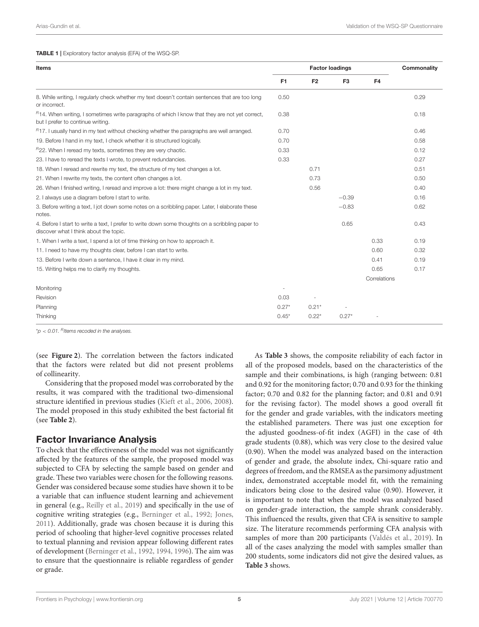<span id="page-5-0"></span>

| Items                                                                                                                                      |                | <b>Factor loadings</b> |                | Commonality  |      |
|--------------------------------------------------------------------------------------------------------------------------------------------|----------------|------------------------|----------------|--------------|------|
|                                                                                                                                            | F <sub>1</sub> | F <sub>2</sub>         | F <sub>3</sub> | F4           |      |
| 8. While writing, I regularly check whether my text doesn't contain sentences that are too long<br>or incorrect.                           | 0.50           |                        |                |              | 0.29 |
| $B$ 14. When writing, I sometimes write paragraphs of which I know that they are not yet correct,<br>but I prefer to continue writing.     | 0.38           |                        |                |              | 0.18 |
| $R17$ . I usually hand in my text without checking whether the paragraphs are well arranged.                                               | 0.70           |                        |                |              | 0.46 |
| 19. Before I hand in my text, I check whether it is structured logically.                                                                  | 0.70           |                        |                |              | 0.58 |
| $R$ 22. When I reread my texts, sometimes they are very chaotic.                                                                           | 0.33           |                        |                |              | 0.12 |
| 23. I have to reread the texts I wrote, to prevent redundancies.                                                                           | 0.33           |                        |                |              | 0.27 |
| 18. When I reread and rewrite my text, the structure of my text changes a lot.                                                             |                | 0.71                   |                |              | 0.51 |
| 21. When I rewrite my texts, the content often changes a lot.                                                                              |                | 0.73                   |                |              | 0.50 |
| 26. When I finished writing, I reread and improve a lot: there might change a lot in my text.                                              |                | 0.56                   |                |              | 0.40 |
| 2. I always use a diagram before I start to write.                                                                                         |                |                        | $-0.39$        |              | 0.16 |
| 3. Before writing a text, I jot down some notes on a scribbling paper. Later, I elaborate these<br>notes.                                  |                |                        | $-0.83$        |              | 0.62 |
| 4. Before I start to write a text, I prefer to write down some thoughts on a scribbling paper to<br>discover what I think about the topic. |                |                        | 0.65           |              | 0.43 |
| 1. When I write a text, I spend a lot of time thinking on how to approach it.                                                              |                |                        |                | 0.33         | 0.19 |
| 11. I need to have my thoughts clear, before I can start to write.                                                                         |                |                        |                | 0.60         | 0.32 |
| 13. Before I write down a sentence, I have it clear in my mind.                                                                            |                |                        |                | 0.41         | 0.19 |
| 15. Writing helps me to clarify my thoughts.                                                                                               |                |                        |                | 0.65         | 0.17 |
|                                                                                                                                            |                |                        |                | Correlations |      |
| Monitoring                                                                                                                                 |                |                        |                |              |      |
| Revision                                                                                                                                   | 0.03           | $\sim$                 |                |              |      |
| Planning                                                                                                                                   | $0.27*$        | $0.21*$                |                |              |      |
| Thinking                                                                                                                                   | $0.45*$        | $0.22*$                | $0.27*$        |              |      |

 $*p < 0.01$ . Ritems recoded in the analyses.

(see **[Figure 2](#page-6-0)**). The correlation between the factors indicated that the factors were related but did not present problems of collinearity.

Considering that the proposed model was corroborated by the results, it was compared with the traditional two-dimensional structure identified in previous studies [\(Kieft et al., 2006,](#page-9-10) [2008\)](#page-9-13). The model proposed in this study exhibited the best factorial fit (see **[Table 2](#page-6-1)**).

#### Factor Invariance Analysis

To check that the effectiveness of the model was not significantly affected by the features of the sample, the proposed model was subjected to CFA by selecting the sample based on gender and grade. These two variables were chosen for the following reasons. Gender was considered because some studies have shown it to be a variable that can influence student learning and achievement in general (e.g., [Reilly et al., 2019\)](#page-9-30) and specifically in the use of cognitive writing strategies (e.g., [Berninger et al., 1992;](#page-8-11) [Jones,](#page-9-31) [2011\)](#page-9-31). Additionally, grade was chosen because it is during this period of schooling that higher-level cognitive processes related to textual planning and revision appear following different rates of development [\(Berninger et al., 1992,](#page-8-11) [1994,](#page-8-12) [1996\)](#page-8-13). The aim was to ensure that the questionnaire is reliable regardless of gender or grade.

As **[Table 3](#page-7-0)** shows, the composite reliability of each factor in all of the proposed models, based on the characteristics of the sample and their combinations, is high (ranging between: 0.81 and 0.92 for the monitoring factor; 0.70 and 0.93 for the thinking factor; 0.70 and 0.82 for the planning factor; and 0.81 and 0.91 for the revising factor). The model shows a good overall fit for the gender and grade variables, with the indicators meeting the established parameters. There was just one exception for the adjusted goodness-of-fit index (AGFI) in the case of 4th grade students (0.88), which was very close to the desired value (0.90). When the model was analyzed based on the interaction of gender and grade, the absolute index, Chi-square ratio and degrees of freedom, and the RMSEA as the parsimony adjustment index, demonstrated acceptable model fit, with the remaining indicators being close to the desired value (0.90). However, it is important to note that when the model was analyzed based on gender-grade interaction, the sample shrank considerably. This influenced the results, given that CFA is sensitive to sample size. The literature recommends performing CFA analysis with samples of more than 200 participants [\(Valdés et al., 2019\)](#page-9-27). In all of the cases analyzing the model with samples smaller than 200 students, some indicators did not give the desired values, as **[Table 3](#page-7-0)** shows.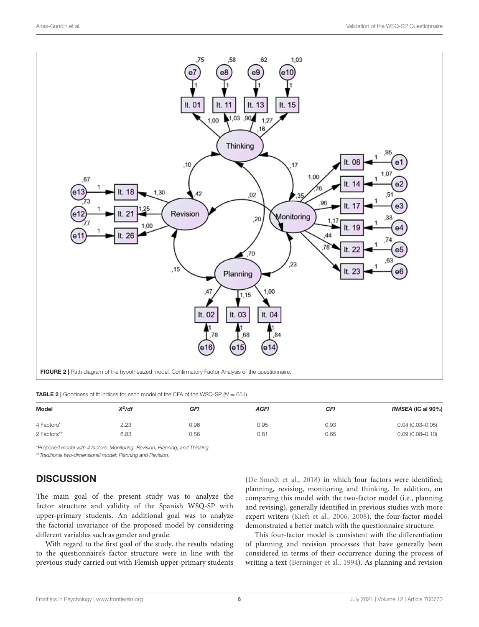

<span id="page-6-1"></span><span id="page-6-0"></span>**TABLE 2** | Goodness of fit indices for each model of the CFA of the WSQ-SP ( $N = 651$ ).

| Model       | $X^2$ /df | GFI  | <b>AGFI</b> | CFI  | <b>RMSEA (IC al 90%)</b> |  |  |
|-------------|-----------|------|-------------|------|--------------------------|--|--|
| 4 Factors*  | 2.23      | 0.96 | 0.95        | 0.93 | $0.04(0.03 - 0.05)$      |  |  |
| 2 Factors** | 6.83      | 0.86 | 0.81        | 0.65 | $0.09(0.08 - 0.10)$      |  |  |

\*Proposed model with 4 factors: Monitoring, Revision, Planning, and Thinking.

\*\*Traditional two-dimensional model: Planning and Revision.

#### **DISCUSSION**

The main goal of the present study was to analyze the factor structure and validity of the Spanish WSQ-SP with upper-primary students. An additional goal was to analyze the factorial invariance of the proposed model by considering different variables such as gender and grade.

With regard to the first goal of the study, the results relating to the questionnaire's factor structure were in line with the previous study carried out with Flemish upper-primary students [\(De Smedt et al., 2018\)](#page-8-9) in which four factors were identified; planning, revising, monitoring and thinking. In addition, on comparing this model with the two-factor model (i.e., planning and revising), generally identified in previous studies with more expert writers [\(Kieft et al., 2006,](#page-9-10) [2008\)](#page-9-13), the four-factor model demonstrated a better match with the questionnaire structure.

This four-factor model is consistent with the differentiation of planning and revision processes that have generally been considered in terms of their occurrence during the process of writing a text [\(Berninger et al., 1994\)](#page-8-12). As planning and revision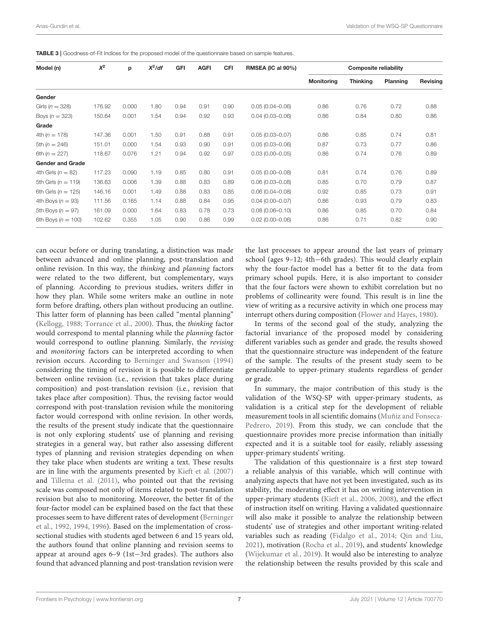<span id="page-7-0"></span>TABLE 3 | Goodness-of-Fit Indices for the proposed model of the questionnaire based on sample features.

| Model (n)               | $X^2$  | p     | $X^2$ /df | GFI  | <b>AGFI</b> | <b>CFI</b> | <b>RMSEA (IC al 90%)</b> | <b>Composite reliability</b> |                 |          |          |
|-------------------------|--------|-------|-----------|------|-------------|------------|--------------------------|------------------------------|-----------------|----------|----------|
|                         |        |       |           |      |             |            |                          | <b>Monitoring</b>            | <b>Thinking</b> | Planning | Revising |
| Gender                  |        |       |           |      |             |            |                          |                              |                 |          |          |
| Girls ( $n = 328$ )     | 176.92 | 0.000 | 1.80      | 0.94 | 0.91        | 0.90       | $0.05(0.04 - 0.06)$      | 0.86                         | 0.76            | 0.72     | 0.88     |
| Boys $(n = 323)$        | 150.64 | 0.001 | 1.54      | 0.94 | 0.92        | 0.93       | $0.04(0.03 - 0.06)$      | 0.86                         | 0.84            | 0.80     | 0.86     |
| Grade                   |        |       |           |      |             |            |                          |                              |                 |          |          |
| 4th $(n = 178)$         | 147.36 | 0.001 | 1.50      | 0.91 | 0.88        | 0.91       | $0.05(0.03 - 0.07)$      | 0.86                         | 0.85            | 0.74     | 0.81     |
| 5th $(n = 246)$         | 151.01 | 0.000 | 1.54      | 0.93 | 0.90        | 0.91       | $0.05(0.03 - 0.06)$      | 0.87                         | 0.73            | 0.77     | 0.86     |
| 6th $(n = 227)$         | 118.67 | 0.076 | 1.21      | 0.94 | 0.92        | 0.97       | $0.03(0.00 - 0.05)$      | 0.86                         | 0.74            | 0.76     | 0.89     |
| <b>Gender and Grade</b> |        |       |           |      |             |            |                          |                              |                 |          |          |
| 4th Girls ( $n = 82$ )  | 117.23 | 0.090 | 1.19      | 0.85 | 0.80        | 0.91       | $0.05(0.00 - 0.08)$      | 0.81                         | 0.74            | 0.76     | 0.89     |
| 5th Girls ( $n = 119$ ) | 136.63 | 0.006 | 1.39      | 0.88 | 0.83        | 0.89       | $0.06(0.03 - 0.08)$      | 0.85                         | 0.70            | 0.79     | 0.87     |
| 6th Girls ( $n = 125$ ) | 146.16 | 0.001 | 1.49      | 0.88 | 0.83        | 0.85       | $0.06(0.04 - 0.08)$      | 0.92                         | 0.85            | 0.73     | 0.91     |
| 4th Boys $(n = 93)$     | 111.56 | 0.165 | 1.14      | 0.88 | 0.84        | 0.95       | $0.04(0.00 - 0.07)$      | 0.86                         | 0.93            | 0.79     | 0.83     |
| 5th Boys $(n = 97)$     | 161.09 | 0.000 | 1.64      | 0.83 | 0.78        | 0.73       | $0.08(0.06 - 0.10)$      | 0.86                         | 0.85            | 0.70     | 0.84     |
| 6th Boys ( $n = 100$ )  | 102.62 | 0.355 | 1.05      | 0.90 | 0.86        | 0.99       | $0.02(0.00 - 0.06)$      | 0.86                         | 0.71            | 0.82     | 0.90     |

can occur before or during translating, a distinction was made between advanced and online planning, post-translation and online revision. In this way, the thinking and planning factors were related to the two different, but complementary, ways of planning. According to previous studies, writers differ in how they plan. While some writers make an outline in note form before drafting, others plan without producing an outline. This latter form of planning has been called "mental planning" [\(Kellogg, 1988;](#page-9-32) [Torrance et al., 2000\)](#page-9-17). Thus, the thinking factor would correspond to mental planning while the planning factor would correspond to outline planning. Similarly, the revising and monitoring factors can be interpreted according to when revision occurs. According to [Berninger and Swanson \(1994\)](#page-8-17) considering the timing of revision it is possible to differentiate between online revision (i.e., revision that takes place during composition) and post-translation revision (i.e., revision that takes place after composition). Thus, the revising factor would correspond with post-translation revision while the monitoring factor would correspond with online revision. In other words, the results of the present study indicate that the questionnaire is not only exploring students' use of planning and revising strategies in a general way, but rather also assessing different types of planning and revision strategies depending on when they take place when students are writing a text. These results are in line with the arguments presented by [Kieft et al. \(2007\)](#page-9-19) and [Tillema et al. \(2011\)](#page-9-33), who pointed out that the revising scale was composed not only of items related to post-translation revision but also to monitoring. Moreover, the better fit of the four-factor model can be explained based on the fact that these processes seem to have different rates of development (Berninger et al., [1992,](#page-8-11) [1994,](#page-8-12) [1996\)](#page-8-13). Based on the implementation of crosssectional studies with students aged between 6 and 15 years old, the authors found that online planning and revision seems to appear at around ages 6–9 (1st−3rd grades). The authors also found that advanced planning and post-translation revision were the last processes to appear around the last years of primary school (ages 9–12; 4th−6th grades). This would clearly explain why the four-factor model has a better fit to the data from primary school pupils. Here, it is also important to consider that the four factors were shown to exhibit correlation but no problems of collinearity were found. This result is in line the view of writing as a recursive activity in which one process may interrupt others during composition [\(Flower and Hayes, 1980\)](#page-8-0).

In terms of the second goal of the study, analyzing the factorial invariance of the proposed model by considering different variables such as gender and grade, the results showed that the questionnaire structure was independent of the feature of the sample. The results of the present study seem to be generalizable to upper-primary students regardless of gender or grade.

In summary, the major contribution of this study is the validation of the WSQ-SP with upper-primary students, as validation is a critical step for the development of reliable measurement tools in all scientific domains (Muñiz and Fonseca-Pedrero, [2019\)](#page-9-34). From this study, we can conclude that the questionnaire provides more precise information than initially expected and it is a suitable tool for easily, reliably assessing upper-primary students' writing.

The validation of this questionnaire is a first step toward a reliable analysis of this variable, which will continue with analyzing aspects that have not yet been investigated, such as its stability, the moderating effect it has on writing intervention in upper-primary students [\(Kieft et al., 2006,](#page-9-10) [2008\)](#page-9-13), and the effect of instruction itself on writing. Having a validated questionnaire will also make it possible to analyze the relationship between students' use of strategies and other important writing-related variables such as reading [\(Fidalgo et al., 2014;](#page-8-18) [Qin and Liu,](#page-9-35) [2021\)](#page-9-35), motivation [\(Rocha et al., 2019\)](#page-9-36), and students' knowledge [\(Wijekumar et al., 2019\)](#page-9-12). It would also be interesting to analyze the relationship between the results provided by this scale and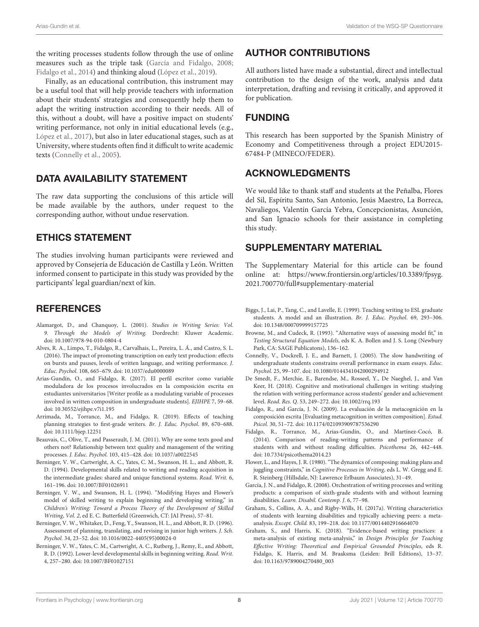the writing processes students follow through the use of online measures such as the triple task [\(García and Fidalgo, 2008;](#page-8-14) [Fidalgo et al., 2014\)](#page-8-18) and thinking aloud [\(López et al., 2019\)](#page-9-37).

Finally, as an educational contribution, this instrument may be a useful tool that will help provide teachers with information about their students' strategies and consequently help them to adapt the writing instruction according to their needs. All of this, without a doubt, will have a positive impact on students' writing performance, not only in initial educational levels (e.g., [López et al., 2017\)](#page-9-38), but also in later educational stages, such as at University, where students often find it difficult to write academic texts [\(Connelly et al., 2005\)](#page-8-19).

#### DATA AVAILABILITY STATEMENT

The raw data supporting the conclusions of this article will be made available by the authors, under request to the corresponding author, without undue reservation.

#### ETHICS STATEMENT

The studies involving human participants were reviewed and approved by Consejería de Educación de Castilla y León. Written informed consent to participate in this study was provided by the participants' legal guardian/next of kin.

## **REFERENCES**

- <span id="page-8-1"></span>Alamargot, D., and Chanquoy, L. (2001). Studies in Writing Series: Vol. 9. Through the Models of Writing. Dordrecht: Kluwer Academic. doi: [10.1007/978-94-010-0804-4](https://doi.org/10.1007/978-94-010-0804-4)
- <span id="page-8-2"></span>Alves, R. A., Limpo, T., Fidalgo, R., Carvalhais, L., Pereira, L. Á., and Castro, S. L. (2016). The impact of promoting transcription on early text production: effects on bursts and pauses, levels of written language, and writing performance. J. Educ. Psychol. 108, 665–679. doi: [10.1037/edu0000089](https://doi.org/10.1037/edu0000089)
- <span id="page-8-8"></span>Arias-Gundín, O., and Fidalgo, R. (2017). El perfil escritor como variable moduladora de los procesos involucrados en la composición escrita en estudiantes universitarios [Writer profile as a modulating variable of processes involved in written composition in undergraduate students]. EJIHPE 7, 59–68. doi: [10.30552/ejihpe.v7i1.195](https://doi.org/10.30552/ejihpe.v7i1.195)
- <span id="page-8-6"></span>Arrimada, M., Torrance, M., and Fidalgo, R. (2019). Effects of teaching planning strategies to first-grade writers. Br. J. Educ. Psychol. 89, 670–688. doi: [10.1111/bjep.12251](https://doi.org/10.1111/bjep.12251)
- <span id="page-8-3"></span>Beauvais, C., Olive, T., and Passerault, J. M. (2011). Why are some texts good and others not? Relationship between text quality and management of the writing processes. J. Educ. Psychol. 103, 415–428. doi: [10.1037/a0022545](https://doi.org/10.1037/a0022545)
- <span id="page-8-12"></span>Berninger, V. W., Cartwright, A. C., Yates, C. M., Swanson, H. L., and Abbott, R. D. (1994). Developmental skills related to writing and reading acquisition in the intermediate grades: shared and unique functional systems. Read. Writ. 6, 161–196. doi: [10.1007/BF01026911](https://doi.org/10.1007/BF01026911)
- <span id="page-8-17"></span>Berninger, V. W., and Swanson, H. L. (1994). "Modifying Hayes and Flower's model of skilled writing to explain beginning and developing writing," in Children's Writing: Toward a Process Theory of the Development of Skilled Writing, Vol. 2, ed E. C. Butterfield (Greenwich, CT: JAI Press), 57–81.
- <span id="page-8-13"></span>Berninger, V. W., Whitaker, D., Feng, Y., Swanson, H. L., and Abbott, R. D. (1996). Assessment of planning, translating, and revising in junior high writers. J. Sch. Psychol. 34, 23–52. doi: [10.1016/0022-4405\(95\)00024-0](https://doi.org/10.1016/0022-4405(95)00024-0)
- <span id="page-8-11"></span>Berninger, V. W., Yates, C. M., Cartwright, A. C., Rutberg, J., Remy, E., and Abbott, R. D. (1992). Lower-level developmental skills in beginning writing. Read. Writ. 4, 257–280. doi: [10.1007/BF01027151](https://doi.org/10.1007/BF01027151)

## AUTHOR CONTRIBUTIONS

All authors listed have made a substantial, direct and intellectual contribution to the design of the work, analysis and data interpretation, drafting and revising it critically, and approved it for publication.

## FUNDING

This research has been supported by the Spanish Ministry of Economy and Competitiveness through a project EDU2015- 67484-P (MINECO/FEDER).

#### ACKNOWLEDGMENTS

We would like to thank staff and students at the Peñalba, Flores del Sil, Espíritu Santo, San Antonio, Jesús Maestro, La Borreca, Navaliegos, Valentín García Yebra, Concepcionistas, Asunción, and San Ignacio schools for their assistance in completing this study.

#### SUPPLEMENTARY MATERIAL

<span id="page-8-15"></span>The Supplementary Material for this article can be found [online at: https://www.frontiersin.org/articles/10.3389/fpsyg.](https://www.frontiersin.org/articles/10.3389/fpsyg.2021.700770/full#supplementary-material) 2021.700770/full#supplementary-material

- <span id="page-8-7"></span>Biggs, J., Lai, P., Tang, C., and Lavelle, E. (1999). Teaching writing to ESL graduate students. A model and an illustration. Br. J. Educ. Psychol. 69, 293–306. doi: [10.1348/000709999157725](https://doi.org/10.1348/000709999157725)
- <span id="page-8-16"></span>Browne, M., and Cudeck, R. (1993). "Alternative ways of assessing model fit," in Testing Structural Equation Models, eds K. A. Bollen and J. S. Long (Newbury Park, CA: SAGE Publicatons), 136–162.
- <span id="page-8-19"></span>Connelly, V., Dockrell, J. E., and Barnett, J. (2005). The slow handwriting of undergraduate students constrains overall performance in exam essays. Educ. Psychol. 25, 99–107. doi: [10.1080/0144341042000294912](https://doi.org/10.1080/0144341042000294912)
- <span id="page-8-9"></span>De Smedt, F., Merchie, E., Barendse, M., Rosseel, Y., De Naeghel, J., and Van Keer, H. (2018). Cognitive and motivational challenges in writing: studying the relation with writing performance across students' gender and achievement level. Read. Res. Q. 53, 249–272. doi: [10.1002/rrq.193](https://doi.org/10.1002/rrq.193)
- <span id="page-8-10"></span>Fidalgo, R., and García, J. N. (2009). La evaluación de la metacognición en la composición escrita [Evaluating metacognition in written composition]. Estud. Psicol. 30, 51–72. doi: [10.1174/021093909787536290](https://doi.org/10.1174/021093909787536290)
- <span id="page-8-18"></span>Fidalgo, R., Torrance, M., Arias-Gundín, O., and Martínez-Cocó, B. (2014). Comparison of reading-writing patterns and performance of students with and without reading difficulties. Psicothema 26, 442–448. doi: [10.7334/psicothema2014.23](https://doi.org/10.7334/psicothema2014.23)
- <span id="page-8-0"></span>Flower, L., and Hayes, J. R. (1980). "The dynamics of composing: making plans and juggling constraints," in Cognitive Processes in Writing, eds L. W. Gregg and E. R. Steinberg (Hillsdale, NJ: Lawrence Erlbaum Associates), 31–49.
- <span id="page-8-14"></span>García, J. N., and Fidalgo, R. (2008). Orchestration of writing processes and writing products: a comparison of sixth-grade students with and without learning disabilities. Learn. Disabil. Contemp. J. 6, 77–98.
- <span id="page-8-4"></span>Graham, S., Collins, A. A., and Rigby-Wills, H. (2017a). Writing characteristics of students with learning disabilities and typically achieving peers: a metaanalysis. Except. Child. 83, 199–218. doi: [10.1177/0014402916664070](https://doi.org/10.1177/0014402916664070)
- <span id="page-8-5"></span>Graham, S., and Harris, K. (2018). "Evidence-based writing practices: a meta-analysis of existing meta-analysis," in Design Principles for Teaching Effective Writing: Theoretical and Empirical Grounded Principles, eds R. Fidalgo, K. Harris, and M. Braaksma (Leiden: Brill Editions), 13–37. doi: [10.1163/9789004270480\\_003](https://doi.org/10.1163/9789004270480_003)